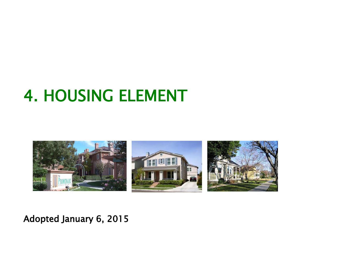

#### Adopted January 6, 2015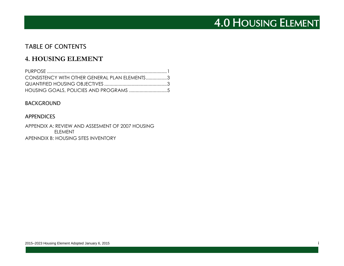#### TABLE OF CONTENTS

#### **4. HOUSING ELEMENT**

| CONSISTENCY WITH OTHER GENERAL PLAN ELEMENTS3 |  |
|-----------------------------------------------|--|
|                                               |  |
|                                               |  |

#### BACKGROUND

#### APPENDICES

APPENDIX A: REVIEW AND ASSESMENT OF 2007 HOUSING ELEMENT APENNDIX B: HOUSING SITES INVENTORY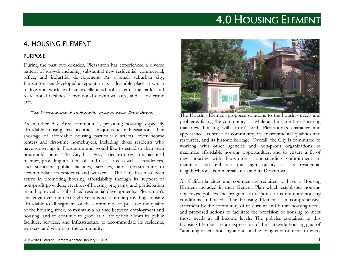#### 4. HOUSING ELEMENT

#### PURPOSE

During the past two decades, Pleasanton has experienced a diverse pattern of growth including substantial new residential, commercial, office, and industrial development. As a small suburban city, Pleasanton has developed a reputation as a desirable place in which to live and work, with an excellent school system, fine parks and recreational facilities, a traditional downtown area, and a low crime rate.

#### The Promenade Apartments located near Downtown

As in other Bay Area communities, providing housing, especially affordable housing, has become a major issue in Pleasanton. The shortage of affordable housing particularly affects lower-income renters and first-time homebuyers, including those residents who have grown up in Pleasanton and would like to establish their own households here. The City has always tried to grow in a balanced manner, providing a variety of land uses, jobs as well as residences, and sufficient public facilities, services, and infrastructure to accommodate its residents and workers. The City has also been active in promoting housing affordability through its support of non-profit providers, creation of housing programs, and participation in and approval of subsidized residential developments. Pleasanton's challenge over the next eight years is to continue providing housing affordable to all segments of the community, to preserve the quality of the housing stock, to maintain a balance between employment and housing, and to continue to grow at a rate which allows its public facilities, services, and infrastructure to accommodate its residents, workers, and visitors to the community.



The Housing Element proposes solutions to the housing needs and problems facing the community –– while at the same time ensuring that new housing will "fit-in" with Pleasanton's character and appearance, its sense of community, its environmental qualities and resources, and its historic heritage. Overall, the City is committed to working with other agencies and non-profit organizations to maximize affordable housing opportunities, and to ensure a fit of new housing with Pleasanton's long-standing commitment to maintain and enhance the high quality of its residential neighborhoods, commercial areas and its Downtown.

All California cities and counties are required to have a Housing Element included in their General Plan which establishes housing objectives, policies and programs in response to community housing conditions and needs. The Housing Element is a comprehensive statement by the community of its current and future housing needs and proposed actions to facilitate the provision of housing to meet those needs at all income levels. The policies contained in this Housing Element are an expression of the statewide housing goal of "attaining decent housing and a suitable living environment for every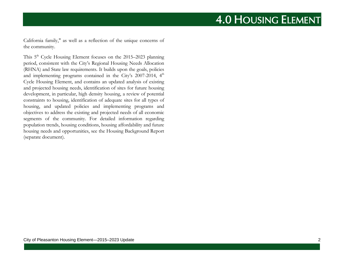California family," as well as a reflection of the unique concerns of the community.

This 5<sup>th</sup> Cycle Housing Element focuses on the 2015–2023 planning period, consistent with the City's Regional Housing Needs Allocation (RHNA) and State law requirements. It builds upon the goals, policies and implementing programs contained in the City's  $2007-2014$ ,  $4<sup>th</sup>$ Cycle Housing Element, and contains an updated analysis of existing and projected housing needs, identification of sites for future housing development, in particular, high density housing, a review of potential constraints to housing, identification of adequate sites for all types of housing, and updated policies and implementing programs and objectives to address the existing and projected needs of all economic segments of the community. For detailed information regarding population trends, housing conditions, housing affordability and future housing needs and opportunities, see the Housing Background Report (separate document).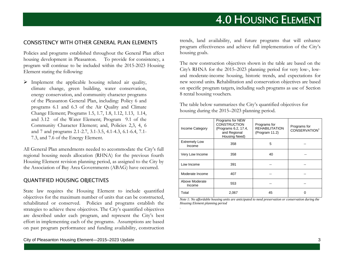#### CONSISTENCY WITH OTHER GENERAL PLAN ELEMENTS

Policies and programs established throughout the General Plan affect housing development in Pleasanton. To provide for consistency, a program will continue to be included within the 2015-2023 Housing Element stating the following:

 $\triangleright$  Implement the applicable housing related air quality, climate change, green building, water conservation, energy conservation, and community character programs of the Pleasanton General Plan, including: Policy 6 and programs 6.1 and 6.3 of the Air Quality and Climate Change Element; Programs 1.5, 1.7, 1.8, 1.12, 1.13, 1.14, and 3.12 of the Water Element; Program 9.1 of the Community Character Element; and, Policies 2,3, 4, 6 and 7 and programs 2.1-2.7, 3.1-3.5, 4.1-4.3, 6.1-6.4, 7.1- 7.3, and 7.6 of the Energy Element.

All General Plan amendments needed to accommodate the City's full regional housing needs allocation (RHNA) for the previous fourth Housing Element revision planning period, as assigned to the City by the Association of Bay Area Governments (ABAG) have occurred.

#### QUANTIFIED HOUSING OBJECTIVES

State law requires the Housing Element to include quantified objectives for the maximum number of units that can be constructed, rehabilitated or conserved. Policies and programs establish the strategies to achieve these objectives. The City's quantified objectives are described under each program, and represent the City's best effort in implementing each of the programs. Assumptions are based on past program performance and funding availability, construction

trends, land availability, and future programs that will enhance program effectiveness and achieve full implementation of the City's housing goals.

The new construction objectives shown in the table are based on the City's RHNA for the 2015–2023 planning period for very low-, lowand moderate-income housing, historic trends, and expectations for new second units. Rehabilitation and conservation objectives are based on specific program targets, including such programs as use of Section 8 rental housing vouchers.

The table below summarizes the City's quantified objectives for housing during the 2015–2023 planning period.

| Income Category                | Programs for NEW<br><b>CONSTRUCTION</b><br>(Programs 6.2, 17.4,<br>and Regional<br>Housing Need) | Programs for<br><b>REHABILITATION</b><br>(Program 11.2) | Programs for<br>CONSERVATION <sup>1</sup> |
|--------------------------------|--------------------------------------------------------------------------------------------------|---------------------------------------------------------|-------------------------------------------|
| <b>Extremely Low</b><br>Income | 358                                                                                              | 5                                                       |                                           |
| Very Low Income                | 358                                                                                              | 40                                                      |                                           |
| Low Income                     | 391                                                                                              |                                                         |                                           |
| Moderate Income                | 407                                                                                              |                                                         |                                           |
| Above Moderate<br>Income       | 553                                                                                              |                                                         |                                           |
| Total                          | 2,067                                                                                            | 45                                                      |                                           |

*Note 1: No affordable housing units are anticipated to need preservation or conservation during the Housing Element planning period*

*.*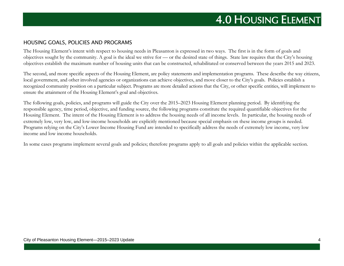#### HOUSING GOALS, POLICIES AND PROGRAMS

The Housing Element's intent with respect to housing needs in Pleasanton is expressed in two ways. The first is in the form of goals and objectives sought by the community. A goal is the ideal we strive for –– or the desired state of things. State law requires that the City's housing objectives establish the maximum number of housing units that can be constructed, rehabilitated or conserved between the years 2015 and 2023.

The second, and more specific aspects of the Housing Element, are policy statements and implementation programs. These describe the way citizens, local government, and other involved agencies or organizations can achieve objectives, and move closer to the City's goals. Policies establish a recognized community position on a particular subject. Programs are more detailed actions that the City, or other specific entities, will implement to ensure the attainment of the Housing Element's goal and objectives.

The following goals, policies, and programs will guide the City over the 2015–2023 Housing Element planning period. By identifying the responsible agency, time period, objective, and funding source, the following programs constitute the required quantifiable objectives for the Housing Element. The intent of the Housing Element is to address the housing needs of all income levels. In particular, the housing needs of extremely low, very low, and low-income households are explicitly mentioned because special emphasis on these income groups is needed. Programs relying on the City's Lower Income Housing Fund are intended to specifically address the needs of extremely low income, very low income and low income households.

In some cases programs implement several goals and policies; therefore programs apply to all goals and policies within the applicable section.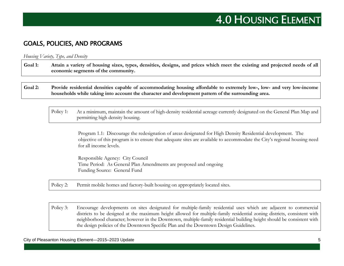#### GOALS, POLICIES, AND PROGRAMS

*Housing Variety, Type, and Density*

**Goal 1: Attain a variety of housing sizes, types, densities, designs, and prices which meet the existing and projected needs of all economic segments of the community.**

**Goal 2: Provide residential densities capable of accommodating housing affordable to extremely low-, low- and very low-income households while taking into account the character and development pattern of the surrounding area.**

Policy 1: At a minimum, maintain the amount of high-density residential acreage currently designated on the General Plan Map and permitting high density housing.

> Program 1.1: Discourage the redesignation of areas designated for High Density Residential development. The objective of this program is to ensure that adequate sites are available to accommodate the City's regional housing need for all income levels.

Responsible Agency: City Council Time Period: As General Plan Amendments are proposed and ongoing Funding Source: General Fund

Policy 2: Permit mobile homes and factory-built housing on appropriately located sites.

Policy 3: Encourage developments on sites designated for multiple-family residential uses which are adjacent to commercial districts to be designed at the maximum height allowed for multiple-family residential zoning districts, consistent with neighborhood character; however in the Downtown, multiple-family residential building height should be consistent with the design policies of the Downtown Specific Plan and the Downtown Design Guidelines.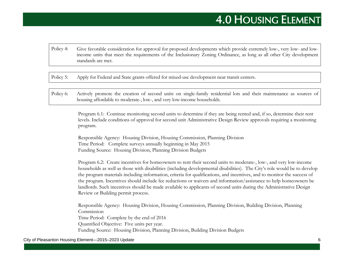Policy 4: Give favorable consideration for approval for proposed developments which provide extremely low-, very low- and lowincome units that meet the requirements of the Inclusionary Zoning Ordinance, as long as all other City development standards are met.

Policy 5: Apply for Federal and State grants offered for mixed-use development near transit centers.

Policy 6: Actively promote the creation of second units on single-family residential lots and their maintenance as sources of housing affordable to moderate-, low-, and very low-income households.

> Program 6.1: Continue monitoring second units to determine if they are being rented and, if so, determine their rent levels. Include conditions of approval for second unit Administrative Design Review approvals requiring a monitoring program.

Responsible Agency: Housing Division, Housing Commission, Planning Division Time Period: Complete surveys annually beginning in May 2015 Funding Source: Housing Division, Planning Division Budgets

Program 6.2: Create incentives for homeowners to rent their second units to moderate-, low-, and very low-income households as well as those with disabilities (including developmental disabilities). The City's role would be to develop the program materials including information, criteria for qualifications, and incentives, and to monitor the success of the program. Incentives should include fee reductions or waivers and information/assistance to help homeowners be landlords. Such incentives should be made available to applicants of second units during the Administrative Design Review or Building permit process.

Responsible Agency: Housing Division, Housing Commission, Planning Division, Building Division, Planning Commission Time Period: Complete by the end of 2016 Quantified Objective: Five units per year. Funding Source: Housing Division, Planning Division, Building Division Budgets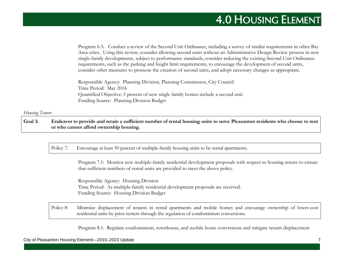Program 6.3: Conduct a review of the Second Unit Ordinance, including a survey of similar requirements in other Bay Area cities. Using this review, consider allowing second units without an Administrative Design Review process in new single-family developments, subject to performance standards, consider reducing the existing Second Unit Ordinance requirements, such as the parking and height limit requirements, to encourage the development of second units, consider other measures to promote the creation of second units, and adopt necessary changes as appropriate.

Responsible Agency: Planning Division, Planning Commission, City Council Time Period: May 2016 Quantified Objective: 5 percent of new single family homes include a second unit. Funding Source: Planning Division Budget

#### *Housing Tenure*

**Goal 3: Endeavor to provide and retain a sufficient number of rental housing units to serve Pleasanton residents who choose to rent or who cannot afford ownership housing.**

Policy 7: Encourage at least 50 percent of multiple-family housing units to be rental apartments.

Program 7.1: Monitor new multiple-family residential development proposals with respect to housing tenure to ensure that sufficient numbers of rental units are provided to meet the above policy.

Responsible Agency: Housing Division Time Period: As multiple-family residential development proposals are received. Funding Source: Housing Division Budget

Policy 8: Minimize displacement of tenants in rental apartments and mobile homes and encourage ownership of lower-cost residential units by prior renters through the regulation of condominium conversions.

Program 8.1: Regulate condominium, townhouse, and mobile home conversions and mitigate tenant displacement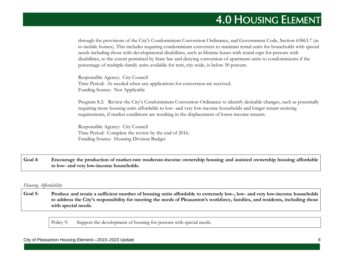through the provisions of the City's Condominium Conversion Ordinance, and Government Code, Section 65863.7 (as to mobile homes). This includes requiring condominium converters to maintain rental units for households with special needs including those with developmental disabilities, such as lifetime leases with rental caps for persons with disabilities, to the extent permitted by State law and denying conversion of apartment units to condominiums if the percentage of multiple-family units available for rent, city-wide, is below 50 percent.

Responsible Agency: City Council Time Period: As needed when any applications for conversion are received. Funding Source: Not Applicable

Program 8.2: Review the City's Condominium Conversion Ordinance to identify desirable changes, such as potentially requiring more housing units affordable to low- and very low-income households and longer tenant noticing requirements, if market conditions are resulting in the displacement of lower-income tenants.

Responsible Agency: City Council Time Period: Complete the review by the end of 2016. Funding Source: Housing Division Budget

**Goal 4: Encourage the production of market-rate moderate-income ownership housing and assisted ownership housing affordable to low- and very low-income households.**

#### *Housing Affordability*

**Goal 5: Produce and retain a sufficient number of housing units affordable to extremely low-, low- and very low-income households to address the City's responsibility for meeting the needs of Pleasanton's workforce, families, and residents, including those with special needs.**

Policy 9: Support the development of housing for persons with special needs.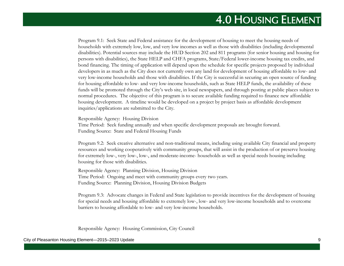Program 9.1: Seek State and Federal assistance for the development of housing to meet the housing needs of households with extremely low, low, and very low incomes as well as those with disabilities (including developmental disabilities). Potential sources may include the HUD Section 202 and 811 programs (for senior housing and housing for persons with disabilities), the State HELP and CHFA programs, State/Federal lower-income housing tax credits, and bond financing. The timing of application will depend upon the schedule for specific projects proposed by individual developers in as much as the City does not currently own any land for development of housing affordable to low- and very low-income households and those with disabilities. If the City is successful in securing an open source of funding for housing affordable to low- and very low-income households, such as State HELP funds, the availability of these funds will be promoted through the City's web site, in local newspapers, and through posting at public places subject to normal procedures. The objective of this program is to secure available funding required to finance new affordable housing development. A timeline would be developed on a project by project basis as affordable development inquiries/applications are submitted to the City.

Responsible Agency: Housing Division Time Period: Seek funding annually and when specific development proposals are brought forward. Funding Source: State and Federal Housing Funds

Program 9.2: Seek creative alternative and non-traditional means, including using available City financial and property resources and working cooperatively with community groups, that will assist in the production of or preserve housing for extremely low-, very low-, low-, and moderate-income- households as well as special needs housing including housing for those with disabilities.

Responsible Agency: Planning Division, Housing Division Time Period: Ongoing and meet with community groups every two years. Funding Source: Planning Division, Housing Division Budgets

Program 9.3: Advocate changes in Federal and State legislation to provide incentives for the development of housing for special needs and housing affordable to extremely low-, low- and very low-income households and to overcome barriers to housing affordable to low- and very low-income households.

Responsible Agency: Housing Commission, City Council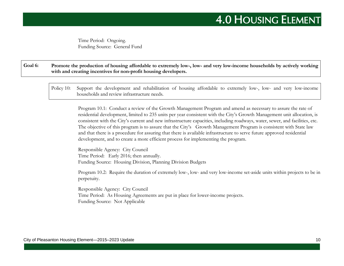Time Period: Ongoing. Funding Source: General Fund

**Goal 6: Promote the production of housing affordable to extremely low-, low- and very low-income households by actively working with and creating incentives for non-profit housing developers.**

Policy 10: Support the development and rehabilitation of housing affordable to extremely low-, low- and very low-income households and review infrastructure needs.

Program 10.1: Conduct a review of the Growth Management Program and amend as necessary to assure the rate of residential development, limited to 235 units per year consistent with the City's Growth Management unit allocation, is consistent with the City's current and new infrastructure capacities, including roadways, water, sewer, and facilities, etc. The objective of this program is to assure that the City's Growth Management Program is consistent with State law and that there is a procedure for assuring that there is available infrastructure to serve future approved residential development, and to create a more efficient process for implementing the program.

Responsible Agency: City Council Time Period: Early 2016; then annually. Funding Source: Housing Division, Planning Division Budgets

Program 10.2: Require the duration of extremely low-, low- and very low-income set-aside units within projects to be in perpetuity.

Responsible Agency: City Council Time Period: As Housing Agreements are put in place for lower-income projects. Funding Source: Not Applicable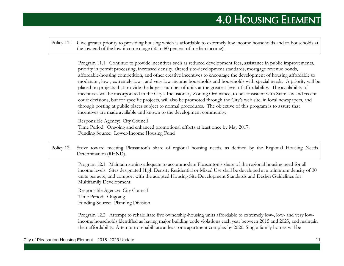Policy 11: Give greater priority to providing housing which is affordable to extremely low income households and to households at the low end of the low-income range (50 to 80 percent of median income).

> Program 11.1: Continue to provide incentives such as reduced development fees, assistance in public improvements, priority in permit processing, increased density, altered site-development standards, mortgage revenue bonds, affordable-housing competition, and other creative incentives to encourage the development of housing affordable to moderate-, low-, extremely low-, and very low-income households and households with special needs. A priority will be placed on projects that provide the largest number of units at the greatest level of affordability. The availability of incentives will be incorporated in the City's Inclusionary Zoning Ordinance, to be consistent with State law and recent court decisions, but for specific projects, will also be promoted through the City's web site, in local newspapers, and through posting at public places subject to normal procedures. The objective of this program is to assure that incentives are made available and known to the development community.

Responsible Agency: City Council Time Period: Ongoing and enhanced promotional efforts at least once by May 2017. Funding Source: Lower-Income Housing Fund

Policy 12: Strive toward meeting Pleasanton's share of regional housing needs, as defined by the Regional Housing Needs Determination (RHND).

> Program 12.1: Maintain zoning adequate to accommodate Pleasanton's share of the regional housing need for all income levels. Sites designated High Density Residential or Mixed Use shall be developed at a minimum density of 30 units per acre, and comport with the adopted Housing Site Development Standards and Design Guidelines for Multifamily Development.

Responsible Agency: City Council Time Period: Ongoing Funding Source: Planning Division

Program 12.2: Attempt to rehabilitate five ownership-housing units affordable to extremely low-, low- and very lowincome households identified as having major building code violations each year between 2015 and 2023, and maintain their affordability. Attempt to rehabilitate at least one apartment complex by 2020. Single-family homes will be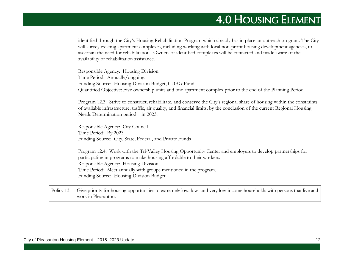identified through the City's Housing Rehabilitation Program which already has in place an outreach program. The City will survey existing apartment complexes, including working with local non-profit housing development agencies, to ascertain the need for rehabilitation. Owners of identified complexes will be contacted and made aware of the availability of rehabilitation assistance.

Responsible Agency: Housing Division Time Period: Annually/ongoing. Funding Source: Housing Division Budget, CDBG Funds Quantified Objective: Five ownership units and one apartment complex prior to the end of the Planning Period.

Program 12.3: Strive to construct, rehabilitate, and conserve the City's regional share of housing within the constraints of available infrastructure, traffic, air quality, and financial limits, by the conclusion of the current Regional Housing Needs Determination period – in 2023.

Responsible Agency: City Council Time Period: By 2023. Funding Source: City, State, Federal, and Private Funds

Program 12.4: Work with the Tri-Valley Housing Opportunity Center and employers to develop partnerships for participating in programs to make housing affordable to their workers. Responsible Agency: Housing Division Time Period: Meet annually with groups mentioned in the program. Funding Source: Housing Division Budget

Policy 13: Give priority for housing opportunities to extremely low, low- and very low-income households with persons that live and work in Pleasanton.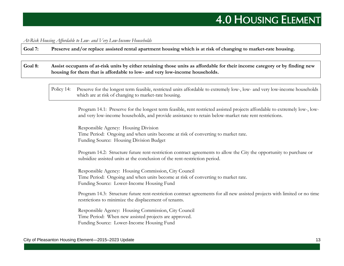*At-Risk Housing Affordable to Low- and Very Low-Income Households*

**Goal 7: Preserve and/or replace assisted rental apartment housing which is at risk of changing to market-rate housing.**

**Goal 8: Assist occupants of at-risk units by either retaining those units as affordable for their income category or by finding new housing for them that is affordable to low- and very low-income households.**

Policy 14: Preserve for the longest term feasible, restricted units affordable to extremely low-, low- and very low-income households which are at risk of changing to market-rate housing.

Program 14.1: Preserve for the longest term feasible, rent restricted assisted projects affordable to extremely low-, lowand very low-income households, and provide assistance to retain below-market rate rent restrictions.

Responsible Agency: Housing Division Time Period: Ongoing and when units become at risk of converting to market rate. Funding Source: Housing Division Budget

Program 14.2: Structure future rent-restriction contract agreements to allow the City the opportunity to purchase or subsidize assisted units at the conclusion of the rent-restriction period.

Responsible Agency: Housing Commission, City Council Time Period: Ongoing and when units become at risk of converting to market rate. Funding Source: Lower-Income Housing Fund

Program 14.3: Structure future rent-restriction contract agreements for all new assisted projects with limited or no time restrictions to minimize the displacement of tenants.

Responsible Agency: Housing Commission, City Council Time Period: When new assisted projects are approved. Funding Source: Lower-Income Housing Fund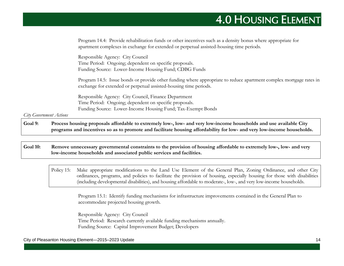Program 14.4: Provide rehabilitation funds or other incentives such as a density bonus where appropriate for apartment complexes in exchange for extended or perpetual assisted-housing time periods.

Responsible Agency: City Council Time Period: Ongoing; dependent on specific proposals. Funding Source: Lower-Income Housing Fund; CDBG Funds

Program 14.5: Issue bonds or provide other funding where appropriate to reduce apartment complex mortgage rates in exchange for extended or perpetual assisted-housing time periods.

Responsible Agency: City Council, Finance Department Time Period: Ongoing; dependent on specific proposals. Funding Source: Lower-Income Housing Fund; Tax-Exempt Bonds

*City Government Actions*

**Goal 9: Process housing proposals affordable to extremely low-, low- and very low-income households and use available City programs and incentives so as to promote and facilitate housing affordability for low- and very low-income households.**

**Goal 10: Remove unnecessary governmental constraints to the provision of housing affordable to extremely low-, low- and very low-income households and associated public services and facilities.**

Policy 15: Make appropriate modifications to the Land Use Element of the General Plan, Zoning Ordinance, and other City ordinances, programs, and policies to facilitate the provision of housing, especially housing for those with disabilities (including developmental disabilities), and housing affordable to moderate-, low-, and very low-income households.

Program 15.1: Identify funding mechanisms for infrastructure improvements contained in the General Plan to accommodate projected housing growth.

Responsible Agency: City Council Time Period: Research currently available funding mechanisms annually. Funding Source: Capital Improvement Budget; Developers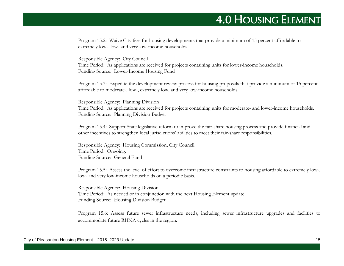Program 15.2: Waive City fees for housing developments that provide a minimum of 15 percent affordable to extremely low-, low- and very low-income households.

Responsible Agency: City Council Time Period: As applications are received for projects containing units for lower-income households. Funding Source: Lower-Income Housing Fund

Program 15.3: Expedite the development review process for housing proposals that provide a minimum of 15 percent affordable to moderate-, low-, extremely low, and very low-income households.

Responsible Agency: Planning Division Time Period: As applications are received for projects containing units for moderate- and lower-income households. Funding Source: Planning Division Budget

Program 15.4: Support State legislative reform to improve the fair-share housing process and provide financial and other incentives to strengthen local jurisdictions' abilities to meet their fair-share responsibilities.

Responsible Agency: Housing Commission, City Council Time Period: Ongoing. Funding Source: General Fund

Program 15.5: Assess the level of effort to overcome infrastructure constraints to housing affordable to extremely low-, low- and very low-income households on a periodic basis.

Responsible Agency: Housing Division Time Period: As needed or in conjunction with the next Housing Element update. Funding Source: Housing Division Budget

Program 15.6: Assess future sewer infrastructure needs, including sewer infrastructure upgrades and facilities to accommodate future RHNA cycles in the region.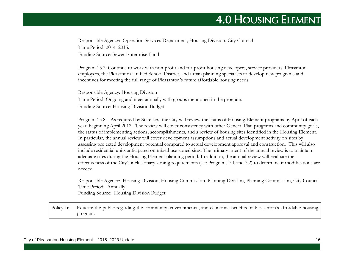Responsible Agency: Operation Services Department, Housing Division, City Council Time Period: 2014–2015. Funding Source: Sewer Enterprise Fund

Program 15.7: Continue to work with non-profit and for-profit housing developers, service providers, Pleasanton employers, the Pleasanton Unified School District, and urban planning specialists to develop new programs and incentives for meeting the full range of Pleasanton's future affordable housing needs.

Responsible Agency: Housing Division Time Period: Ongoing and meet annually with groups mentioned in the program. Funding Source: Housing Division Budget

Program 15.8: As required by State law, the City will review the status of Housing Element programs by April of each year, beginning April 2012. The review will cover consistency with other General Plan programs and community goals, the status of implementing actions, accomplishments, and a review of housing sites identified in the Housing Element. In particular, the annual review will cover development assumptions and actual development activity on sites by assessing projected development potential compared to actual development approval and construction. This will also include residential units anticipated on mixed use zoned sites. The primary intent of the annual review is to maintain adequate sites during the Housing Element planning period. In addition, the annual review will evaluate the effectiveness of the City's inclusionary zoning requirements (see Programs 7.1 and 7.2) to determine if modifications are needed.

Responsible Agency: Housing Division, Housing Commission, Planning Division, Planning Commission, City Council Time Period: Annually. Funding Source: Housing Division Budget

Policy 16: Educate the public regarding the community, environmental, and economic benefits of Pleasanton's affordable housing program.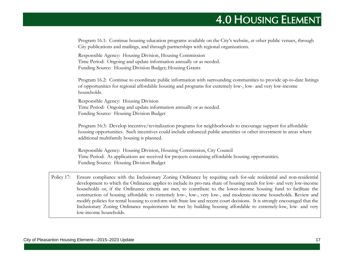Program 16.1: Continue housing education programs available on the City's website, at other public venues, through City publications and mailings, and through partnerships with regional organizations.

Responsible Agency: Housing Division, Housing Commission Time Period: Ongoing and update information annually or as needed. Funding Source: Housing Division Budget; Housing Grants

Program 16.2: Continue to coordinate public information with surrounding communities to provide up-to-date listings of opportunities for regional affordable housing and programs for extremely low-, low- and very low-income households.

Responsible Agency: Housing Division Time Period: Ongoing and update information annually or as needed. Funding Source: Housing Division Budget

Program 16:3: Develop incentive/revitalization programs for neighborhoods to encourage support for affordable housing opportunities. Such incentives could include enhanced public amenities or other investment in areas where additional multifamily housing is planned.

Responsible Agency: Housing Division, Housing Commission, City Council Time Period: As applications are received for projects containing affordable housing opportunities. Funding Source: Housing Division Budget

Policy 17: Ensure compliance with the Inclusionary Zoning Ordinance by requiring each for-sale residential and non-residential development to which the Ordinance applies to include its pro-rata share of housing needs for low- and very low-income households or, if the Ordinance criteria are met, to contribute to the lower-income housing fund to facilitate the construction of housing affordable to extremely low-, low-, very low-, and moderate-income households. Review and modify policies for rental housing to conform with State law and recent court decisions. It is strongly encouraged that the Inclusionary Zoning Ordinance requirements be met by building housing affordable to extremely-low, low- and very low-income households.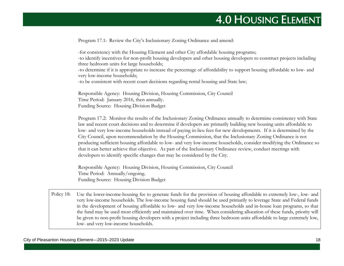Program 17.1: Review the City's Inclusionary Zoning Ordinance and amend:

-for consistency with the Housing Element and other City affordable housing programs; -to identify incentives for non-profit housing developers and other housing developers to construct projects including three bedroom units for large households; -to determine if it is appropriate to increase the percentage of affordability to support housing affordable to low- and very low-income households; -to be consistent with recent court decisions regarding rental housing and State law;

Responsible Agency: Housing Division, Housing Commission, City Council Time Period: January 2016, then annually. Funding Source: Housing Division Budget

Program 17.2: Monitor the results of the Inclusionary Zoning Ordinance annually to determine consistency with State law and recent court decisions and to determine if developers are primarily building new housing units affordable to low- and very low-income households instead of paying in-lieu fees for new developments. If it is determined by the City Council, upon recommendation by the Housing Commission, that the Inclusionary Zoning Ordinance is not producing sufficient housing affordable to low- and very low-income households, consider modifying the Ordinance so that it can better achieve that objective. As part of the Inclusionary Ordinance review, conduct meetings with developers to identify specific changes that may be considered by the City.

Responsible Agency: Housing Division, Housing Commission, City Council Time Period: Annually/ongoing. Funding Source: Housing Division Budget

Policy 18: Use the lower-income-housing fee to generate funds for the provision of housing affordable to extremely low-, low- and very low-income households. The low-income housing fund should be used primarily to leverage State and Federal funds in the development of housing affordable to low- and very low-income households and in-house loan programs, so that the fund may be used most efficiently and maintained over time. When considering allocation of these funds, priority will be given to non-profit housing developers with a project including three bedroom units affordable to large extremely low, low- and very low-income households.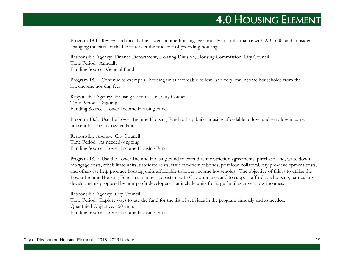Program 18.1: Review and modify the lower-income-housing fee annually in conformance with AB 1600, and consider changing the basis of the fee to reflect the true cost of providing housing.

Responsible Agency: Finance Department, Housing Division, Housing Commission, City Council Time Period: Annually Funding Source: General Fund

Program 18.2: Continue to exempt all housing units affordable to low- and very low-income households from the low-income housing fee.

Responsible Agency: Housing Commission, City Council Time Period: Ongoing. Funding Source: Lower-Income Housing Fund

Program 18.3: Use the Lower-Income Housing Fund to help build housing affordable to low- and very low-income households on City-owned land.

Responsible Agency: City Council Time Period: As needed/ongoing. Funding Source: Lower-Income Housing Fund

Program 18.4: Use the Lower-Income Housing Fund to extend rent restriction agreements, purchase land, write down mortgage costs, rehabilitate units, subsidize rents, issue tax-exempt bonds, post loan collateral, pay pre-development costs, and otherwise help produce housing units affordable to lower-income households. The objective of this is to utilize the Lower Income Housing Fund in a manner consistent with City ordinance and to support affordable housing, particularly developments proposed by non-profit developers that include units for large families at very low incomes.

Responsible Agency: City Council Time Period: Explore ways to use the fund for the list of activities in the program annually and as needed. Quantified Objective: 150 units Funding Source: Lower-Income Housing Fund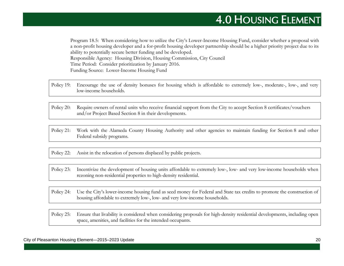Program 18.5: When considering how to utilize the City's Lower-Income Housing Fund, consider whether a proposal with a non-profit housing developer and a for-profit housing developer partnership should be a higher priority project due to its ability to potentially secure better funding and be developed. Responsible Agency: Housing Division, Housing Commission, City Council Time Period: Consider prioritization by January 2016. Funding Source: Lower-Income Housing Fund

- Policy 19: Encourage the use of density bonuses for housing which is affordable to extremely low-, moderate-, low-, and very low-income households.
- Policy 20: Require owners of rental units who receive financial support from the City to accept Section 8 certificates/vouchers and/or Project Based Section 8 in their developments.
- Policy 21: Work with the Alameda County Housing Authority and other agencies to maintain funding for Section 8 and other Federal subsidy programs.

Policy 22: Assist in the relocation of persons displaced by public projects.

- Policy 23: Incentivize the development of housing units affordable to extremely low-, low- and very low-income households when rezoning non-residential properties to high-density residential.
- Policy 24: Use the City's lower-income housing fund as seed money for Federal and State tax credits to promote the construction of housing affordable to extremely low-, low- and very low-income households.

Policy 25: Ensure that livability is considered when considering proposals for high-density residential developments, including open space, amenities, and facilities for the intended occupants.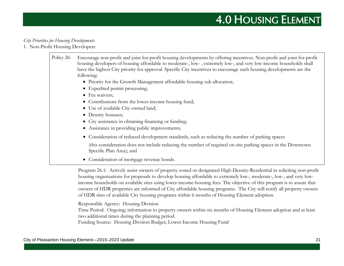#### *City Priorities for Housing Developments*

1. Non-Profit Housing Developers

| Policy 26: | Encourage non-profit and joint for-profit housing developments by offering incentives. Non-profit and joint for-profit<br>housing developers of housing affordable to moderate-, low-, extremely low-, and very low-income households shall<br>have the highest City priority for approval. Specific City incentives to encourage such housing developments are the<br>following: |
|------------|-----------------------------------------------------------------------------------------------------------------------------------------------------------------------------------------------------------------------------------------------------------------------------------------------------------------------------------------------------------------------------------|
|            | • Priority for the Growth Management affordable-housing sub allocation;                                                                                                                                                                                                                                                                                                           |
|            | • Expedited permit processing;                                                                                                                                                                                                                                                                                                                                                    |
|            | • Fee waivers;                                                                                                                                                                                                                                                                                                                                                                    |
|            | • Contributions from the lower-income housing fund;                                                                                                                                                                                                                                                                                                                               |
|            | • Use of available City-owned land;                                                                                                                                                                                                                                                                                                                                               |
|            | • Density bonuses;                                                                                                                                                                                                                                                                                                                                                                |
|            | • City assistance in obtaining financing or funding;                                                                                                                                                                                                                                                                                                                              |
|            | • Assistance in providing public improvements;                                                                                                                                                                                                                                                                                                                                    |
|            | Consideration of reduced development standards, such as reducing the number of parking spaces                                                                                                                                                                                                                                                                                     |
|            | (this consideration does not include reducing the number of required on-site parking spaces in the Downtown<br>Specific Plan Area); and                                                                                                                                                                                                                                           |
|            | Consideration of mortgage revenue bonds.                                                                                                                                                                                                                                                                                                                                          |

Program 26.1: Actively assist owners of property zoned or designated High-Density-Residential in soliciting non-profit housing organizations for proposals to develop housing affordable to extremely low-, moderate-, low-, and very lowincome households on available sites using lower-income-housing fees. The objective of this program is to assure that owners of HDR properties are informed of City affordable housing programs. The City will notify all property owners of HDR sites of available City housing programs within 6 months of Housing Element adoption.

Responsible Agency: Housing Division

Time Period: Ongoing; information to property owners within six months of Housing Element adoption and at least two additional times during the planning period.

Funding Source: Housing Division Budget; Lower-Income Housing Fund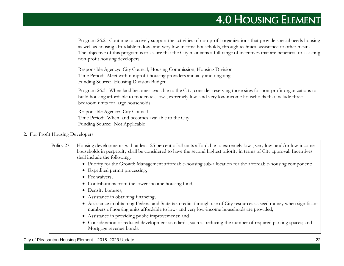Program 26.2: Continue to actively support the activities of non-profit organizations that provide special needs housing as well as housing affordable to low- and very low-income households, through technical assistance or other means. The objective of this program is to assure that the City maintains a full range of incentives that are beneficial to assisting non-profit housing developers.

Responsible Agency: City Council, Housing Commission, Housing Division Time Period: Meet with nonprofit housing providers annually and ongoing. Funding Source: Housing Division Budget

Program 26.3: When land becomes available to the City, consider reserving those sites for non-profit organizations to build housing affordable to moderate-, low-, extremely low, and very low-income households that include three bedroom units for large households.

Responsible Agency: City Council Time Period: When land becomes available to the City. Funding Source: Not Applicable

#### 2. For-Profit Housing Developers

| Policy 27: | Housing developments with at least 25 percent of all units affordable to extremely low-, very low- and/or low-income<br>households in perpetuity shall be considered to have the second highest priority in terms of City approval. Incentives<br>shall include the following: |
|------------|--------------------------------------------------------------------------------------------------------------------------------------------------------------------------------------------------------------------------------------------------------------------------------|
|            | • Priority for the Growth Management affordable-housing sub-allocation for the affordable-housing component;                                                                                                                                                                   |
|            | • Expedited permit processing;                                                                                                                                                                                                                                                 |
|            | • Fee waivers;                                                                                                                                                                                                                                                                 |
|            | • Contributions from the lower-income housing fund;                                                                                                                                                                                                                            |
|            | • Density bonuses;                                                                                                                                                                                                                                                             |
|            | • Assistance in obtaining financing;                                                                                                                                                                                                                                           |
|            | • Assistance in obtaining Federal and State tax credits through use of City resources as seed money when significant<br>numbers of housing units affordable to low- and very low-income households are provided;                                                               |
|            | • Assistance in providing public improvements; and                                                                                                                                                                                                                             |
|            | • Consideration of reduced development standards, such as reducing the number of required parking spaces; and<br>Mortgage revenue bonds.                                                                                                                                       |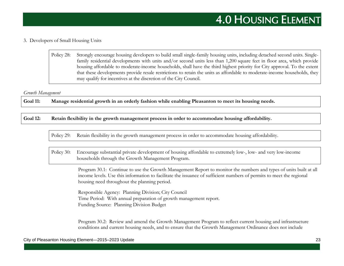#### 3. Developers of Small Housing Units

Policy 28: Strongly encourage housing developers to build small single-family housing units, including detached second units. Singlefamily residential developments with units and/or second units less than 1,200 square feet in floor area, which provide housing affordable to moderate-income households, shall have the third highest priority for City approval. To the extent that these developments provide resale restrictions to retain the units as affordable to moderate-income households, they may qualify for incentives at the discretion of the City Council.

#### *Growth Management*

**Goal 11: Manage residential growth in an orderly fashion while enabling Pleasanton to meet its housing needs.**

**Goal 12: Retain flexibility in the growth management process in order to accommodate housing affordability.**

Policy 29: Retain flexibility in the growth management process in order to accommodate housing affordability.

Policy 30: Encourage substantial private development of housing affordable to extremely low-, low- and very low-income households through the Growth Management Program.

> Program 30.1: Continue to use the Growth Management Report to monitor the numbers and types of units built at all income levels. Use this information to facilitate the issuance of sufficient numbers of permits to meet the regional housing need throughout the planning period.

Responsible Agency: Planning Division; City Council Time Period: With annual preparation of growth management report. Funding Source: Planning Division Budget

Program 30.2: Review and amend the Growth Management Program to reflect current housing and infrastructure conditions and current housing needs, and to ensure that the Growth Management Ordinance does not include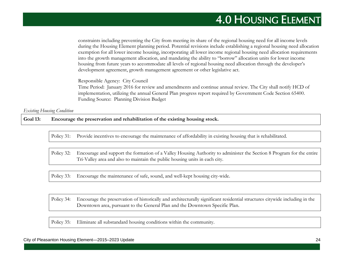constraints including preventing the City from meeting its share of the regional housing need for all income levels during the Housing Element planning period. Potential revisions include establishing a regional housing need allocation exemption for all lower income housing, incorporating all lower income regional housing need allocation requirements into the growth management allocation, and mandating the ability to "borrow" allocation units for lower income housing from future years to accommodate all levels of regional housing need allocation through the developer's development agreement, growth management agreement or other legislative act.

Responsible Agency: City Council

Time Period: January 2016 for review and amendments and continue annual review. The City shall notify HCD of implementation, utilizing the annual General Plan progress report required by Government Code Section 65400. Funding Source: Planning Division Budget

*Existing Housing Condition*

**Goal 13: Encourage the preservation and rehabilitation of the existing housing stock.**

Policy 31: Provide incentives to encourage the maintenance of affordability in existing housing that is rehabilitated.

Policy 32: Encourage and support the formation of a Valley Housing Authority to administer the Section 8 Program for the entire Tri-Valley area and also to maintain the public housing units in each city.

Policy 33: Encourage the maintenance of safe, sound, and well-kept housing city-wide.

Policy 34: Encourage the preservation of historically and architecturally significant residential structures citywide including in the Downtown area, pursuant to the General Plan and the Downtown Specific Plan.

Policy 35: Eliminate all substandard housing conditions within the community.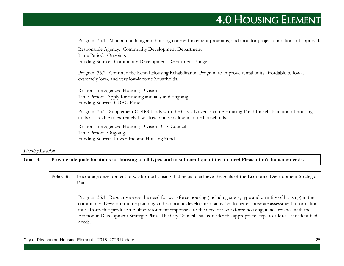|                  | Program 35.1: Maintain building and housing code enforcement programs, and monitor project conditions of approval.                                                                      |
|------------------|-----------------------------------------------------------------------------------------------------------------------------------------------------------------------------------------|
|                  | Responsible Agency: Community Development Department<br>Time Period: Ongoing.<br>Funding Source: Community Development Department Budget                                                |
|                  | Program 35.2: Continue the Rental Housing Rehabilitation Program to improve rental units affordable to low-,<br>extremely low-, and very low-income households.                         |
|                  | Responsible Agency: Housing Division<br>Time Period: Apply for funding annually and ongoing.<br>Funding Source: CDBG Funds                                                              |
|                  | Program 35.3: Supplement CDBG funds with the City's Lower-Income Housing Fund for rehabilitation of housing<br>units affordable to extremely low-, low- and very low-income households. |
|                  | Responsible Agency: Housing Division, City Council<br>Time Period: Ongoing.<br>Funding Source: Lower-Income Housing Fund                                                                |
| Housing Location |                                                                                                                                                                                         |
| Goal 14:         | Provide adequate locations for housing of all types and in sufficient quantities to meet Pleasanton's housing needs.                                                                    |

Policy 36: Encourage development of workforce housing that helps to achieve the goals of the Economic Development Strategic Plan.

> Program 36.1: Regularly assess the need for workforce housing (including stock, type and quantity of housing) in the community. Develop routine planning and economic development activities to better integrate assessment information into efforts that produce a built environment responsive to the need for workforce housing, in accordance with the Economic Development Strategic Plan. The City Council shall consider the appropriate steps to address the identified needs.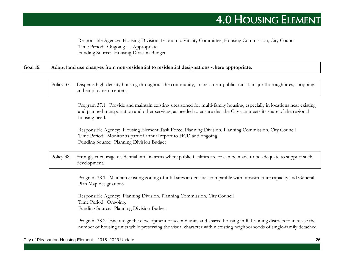Responsible Agency: Housing Division, Economic Vitality Committee, Housing Commission, City Council Time Period: Ongoing, as Appropriate Funding Source: Housing Division Budget

#### **Goal 15: Adopt land use changes from non-residential to residential designations where appropriate.**

Policy 37: Disperse high-density housing throughout the community, in areas near public transit, major thoroughfares, shopping, and employment centers.

> Program 37.1: Provide and maintain existing sites zoned for multi-family housing, especially in locations near existing and planned transportation and other services, as needed to ensure that the City can meets its share of the regional housing need.

Responsible Agency: Housing Element Task Force, Planning Division, Planning Commission, City Council Time Period: Monitor as part of annual report to HCD and ongoing. Funding Source: Planning Division Budget

Policy 38: Strongly encourage residential infill in areas where public facilities are or can be made to be adequate to support such development.

> Program 38.1: Maintain existing zoning of infill sites at densities compatible with infrastructure capacity and General Plan Map designations.

Responsible Agency: Planning Division, Planning Commission, City Council Time Period: Ongoing. Funding Source: Planning Division Budget

Program 38.2: Encourage the development of second units and shared housing in R-1 zoning districts to increase the number of housing units while preserving the visual character within existing neighborhoods of single-family detached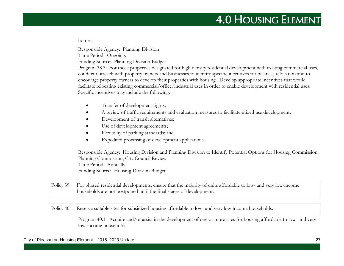homes.

Responsible Agency: Planning Division

Time Period: Ongoing.

Funding Source: Planning Division Budget

Program 38.3: For those properties designated for high density residential development with existing commercial uses, conduct outreach with property owners and businesses to identify specific incentives for business relocation and to encourage property owners to develop their properties with housing. Develop appropriate incentives that would facilitate relocating existing commercial/office/industrial uses in order to enable development with residential uses. Specific incentives may include the following:

- Transfer of development rights;
- A review of traffic requirements and evaluation measures to facilitate mixed use development;
- Development of transit alternatives;
- Use of development agreements;
- Flexibility of parking standards; and
- Expedited processing of development applications.

Responsible Agency: Housing Division and Planning Division to Identify Potential Options for Housing Commission, Planning Commission, City Council Review Time Period: Annually. Funding Source: Housing Division Budget

Policy 39: For phased residential developments, ensure that the majority of units affordable to low- and very low-income households are not postponed until the final stages of development.

Policy 40: Reserve suitable sites for subsidized housing affordable to low- and very low-income households.

Program 40.1: Acquire and/or assist in the development of one or more sites for housing affordable to low- and very low-income households.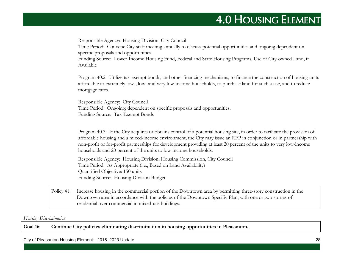Responsible Agency: Housing Division, City Council Time Period: Convene City staff meeting annually to discuss potential opportunities and ongoing dependent on specific proposals and opportunities. Funding Source: Lower-Income Housing Fund, Federal and State Housing Programs, Use of City-owned Land, if Available Program 40.2: Utilize tax-exempt bonds, and other financing mechanisms, to finance the construction of housing units affordable to extremely low-, low- and very low-income households, to purchase land for such a use, and to reduce mortgage rates. Responsible Agency: City Council Time Period: Ongoing; dependent on specific proposals and opportunities. Funding Source: Tax-Exempt Bonds Program 40.3: If the City acquires or obtains control of a potential housing site, in order to facilitate the provision of affordable housing and a mixed-income environment, the City may issue an RFP in conjunction or in partnership with non-profit or for-profit partnerships for development providing at least 20 percent of the units to very low-income households and 20 percent of the units to low-income households. Responsible Agency: Housing Division, Housing Commission, City Council Time Period: As Appropriate (i.e., Based on Land Availability) Quantified Objective: 150 units

Funding Source: Housing Division Budget

Policy 41: Increase housing in the commercial portion of the Downtown area by permitting three-story construction in the Downtown area in accordance with the policies of the Downtown Specific Plan, with one or two stories of residential over commercial in mixed-use buildings.

#### *Housing Discrimination*

**Goal 16: Continue City policies eliminating discrimination in housing opportunities in Pleasanton.**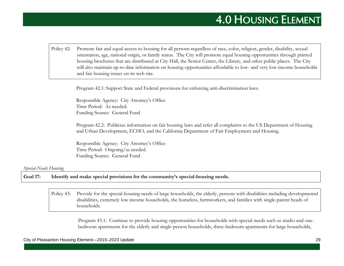Policy 42: Promote fair and equal access to housing for all persons regardless of race, color, religion, gender, disability, sexual orientation, age, national origin, or family status. The City will promote equal housing opportunities through printed housing brochures that are distributed at City Hall, the Senior Center, the Library, and other public places. The City will also maintain up-to-date information on housing opportunities affordable to low- and very low-income households and fair housing issues on its web site.

Program 42.1: Support State and Federal provisions for enforcing anti-discrimination laws.

Responsible Agency: City Attorney's Office Time Period: As needed. Funding Source: General Fund

Program 42.2: Publicize information on fair housing laws and refer all complaints to the US Department of Housing and Urban Development, ECHO, and the California Department of Fair Employment and Housing.

Responsible Agency: City Attorney's Office Time Period: Ongoing/as needed. Funding Source: General Fund

#### *Special-Needs Housing*

**Goal 17: Identify and make special provisions for the community's special-housing needs.**

Policy 43: Provide for the special-housing needs of large households, the elderly, persons with disabilities including developmental disabilities, extremely low income households, the homeless, farmworkers, and families with single-parent heads of households.

Program 43.1: Continue to provide housing opportunities for households with special needs such as studio and onebedroom apartments for the elderly and single-person households, three-bedroom apartments for large households,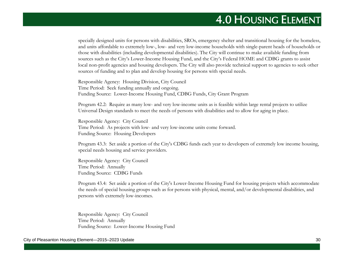specially designed units for persons with disabilities, SROs, emergency shelter and transitional housing for the homeless, and units affordable to extremely low-, low- and very low-income households with single-parent heads of households or those with disabilities (including developmental disabilities). The City will continue to make available funding from sources such as the City's Lower-Income Housing Fund, and the City's Federal HOME and CDBG grants to assist local non-profit agencies and housing developers. The City will also provide technical support to agencies to seek other sources of funding and to plan and develop housing for persons with special needs.

Responsible Agency: Housing Division, City Council Time Period: Seek funding annually and ongoing. Funding Source: Lower-Income Housing Fund, CDBG Funds, City Grant Program

Program 42.2: Require as many low- and very low-income units as is feasible within large rental projects to utilize Universal Design standards to meet the needs of persons with disabilities and to allow for aging in place.

Responsible Agency: City Council Time Period: As projects with low- and very low-income units come forward. Funding Source: Housing Developers

Program 43.3: Set aside a portion of the City's CDBG funds each year to developers of extremely low income housing, special needs housing and service providers.

Responsible Agency: City Council Time Period: Annually Funding Source: CDBG Funds

Program 43.4: Set aside a portion of the City's Lower-Income Housing Fund for housing projects which accommodate the needs of special housing groups such as for persons with physical, mental, and/or developmental disabilities, and persons with extremely low-incomes.

Responsible Agency: City Council Time Period: Annually Funding Source: Lower-Income Housing Fund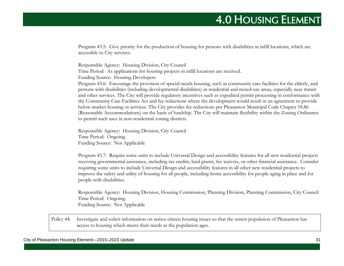Program 43.5: Give priority for the production of housing for persons with disabilities in infill locations, which are accessible to City services.

Responsible Agency: Housing Division, City Council Time Period: As applications for housing projects in infill locations are received. Funding Source: Housing Developers

Program 43.6: Encourage the provision of special-needs housing, such as community care facilities for the elderly, and persons with disabilities (including developmental disabilities) in residential and mixed-use areas, especially near transit and other services. The City will provide regulatory incentives such as expedited permit processing in conformance with the Community Care Facilities Act and fee reductions where the development would result in an agreement to provide below-market housing or services. The City provides fee reductions per Pleasanton Municipal Code Chapter 18.86 (Reasonable Accommodations) on the basis of hardship. The City will maintain flexibility within the Zoning Ordinance to permit such uses in non-residential zoning districts.

Responsible Agency: Housing Division, City Council Time Period: Ongoing. Funding Source: Not Applicable

Program 43.7: Require some units to include Universal Design and accessibility features for all new residential projects receiving governmental assistance, including tax credits, land grants, fee waivers, or other financial assistance. Consider requiring some units to include Universal Design and accessibility features in all other new residential projects to improve the safety and utility of housing for all people, including home accessibility for people aging in place and for people with disabilities.

Responsible Agency: Housing Division, Housing Commission, Planning Division, Planning Commission, City Council Time Period: Ongoing. Funding Source: Not Applicable

Policy 44: Investigate and solicit information on senior citizen housing issues so that the senior population of Pleasanton has access to housing which meets their needs as the population ages.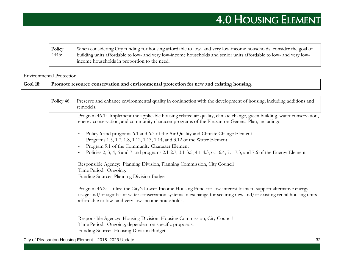Policy 4445: When considering City funding for housing affordable to low- and very low-income households, consider the goal of building units affordable to low- and very low-income households and senior units affordable to low- and very lowincome households in proportion to the need.

#### Environmental Protection

**Goal 18: Promote resource conservation and environmental protection for new and existing housing.**

Policy 46: Preserve and enhance environmental quality in conjunction with the development of housing, including additions and remodels.

> Program 46.1: Implement the applicable housing related air quality, climate change, green building, water conservation, energy conservation, and community character programs of the Pleasanton General Plan, including:

- Policy 6 and programs 6.1 and 6.3 of the Air Quality and Climate Change Element
- Programs 1.5, 1.7, 1.8, 1.12, 1.13, 1.14, and 3.12 of the Water Element
- Program 9.1 of the Community Character Element
- Policies 2, 3, 4, 6 and 7 and programs 2.1-2.7, 3.1-3.5, 4.1-4.3, 6.1-6.4, 7.1-7.3, and 7.6 of the Energy Element

Responsible Agency: Planning Division, Planning Commission, City Council Time Period: Ongoing. Funding Source: Planning Division Budget

Program 46.2: Utilize the City's Lower-Income Housing Fund for low-interest loans to support alternative energy usage and/or significant water conservation systems in exchange for securing new and/or existing rental housing units affordable to low- and very low-income households.

Responsible Agency: Housing Division, Housing Commission, City Council Time Period: Ongoing; dependent on specific proposals. Funding Source: Housing Division Budget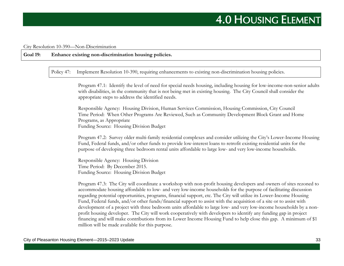#### City Resolution 10-390—Non-Discrimination

#### **Goal 19: Enhance existing non-discrimination housing policies.**

Policy 47: Implement Resolution 10-390, requiring enhancements to existing non-discrimination housing policies.

Program 47.1: Identify the level of need for special needs housing, including housing for low-income-non-senior adults with disabilities, in the community that is not being met in existing housing. The City Council shall consider the appropriate steps to address the identified needs.

Responsible Agency: Housing Division, Human Services Commission, Housing Commission, City Council Time Period: When Other Programs Are Reviewed, Such as Community Development Block Grant and Home Programs, as Appropriate Funding Source: Housing Division Budget

Program 47.2: Survey older multi-family residential complexes and consider utilizing the City's Lower-Income Housing Fund, Federal funds, and/or other funds to provide low-interest loans to retrofit existing residential units for the purpose of developing three bedroom rental units affordable to large low- and very low-income households.

Responsible Agency: Housing Division Time Period: By December 2015. Funding Source: Housing Division Budget

Program 47.3: The City will coordinate a workshop with non-profit housing developers and owners of sites rezoned to accommodate housing affordable to low- and very low-income households for the purpose of facilitating discussion regarding potential opportunities, programs, financial support, etc. The City will utilize its Lower-Income Housing Fund, Federal funds, and/or other funds/financial support to assist with the acquisition of a site or to assist with development of a project with three bedroom units affordable to large low- and very low-income households by a nonprofit housing developer. The City will work cooperatively with developers to identify any funding gap in project financing and will make contributions from its Lower Income Housing Fund to help close this gap. A minimum of \$1 million will be made available for this purpose.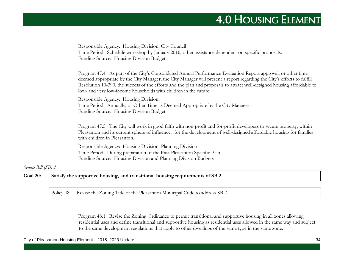| Time Period: Schedule workshop by January 2016; other assistance dependent on specific proposals.<br>Funding Source: Housing Division Budget                                                                                                                                                                                                                                                                                           |
|----------------------------------------------------------------------------------------------------------------------------------------------------------------------------------------------------------------------------------------------------------------------------------------------------------------------------------------------------------------------------------------------------------------------------------------|
| Program 47.4: As part of the City's Consolidated Annual Performance Evaluation Report approval, or other time<br>deemed appropriate by the City Manager, the City Manager will present a report regarding the City's efforts to fulfill<br>Resolution 10-390, the success of the efforts and the plan and proposals to attract well-designed housing affordable to<br>low- and very low-income households with children in the future. |
| Responsible Agency: Housing Division<br>Time Period: Annually, or Other Time as Deemed Appropriate by the City Manager<br>Funding Source: Housing Division Budget                                                                                                                                                                                                                                                                      |
| Program 47.5: The City will work in good faith with non-profit and for-profit developers to secure property, within<br>Pleasanton and its current sphere of influence, for the development of well-designed affordable housing for families<br>with children in Pleasanton.                                                                                                                                                            |
| Responsible Agency: Housing Division, Planning Division<br>Time Period: During preparation of the East Pleasanton Specific Plan.<br>Funding Source: Housing Division and Planning Division Budgets                                                                                                                                                                                                                                     |

#### *Senate Bill (SB) 2*

Goal 20: Satisfy the supportive housing, and transitional housing requirements of SB 2.

Policy 48: Revise the Zoning Title of the Pleasanton Municipal Code to address SB 2.

Program 48.1: Revise the Zoning Ordinance to permit transitional and supportive housing in all zones allowing residential uses and define transitional and supportive housing as residential uses allowed in the same way and subject to the same development regulations that apply to other dwellings of the same type in the same zone.

#### City of Pleasanton Housing Element—2015–2023 Update 34